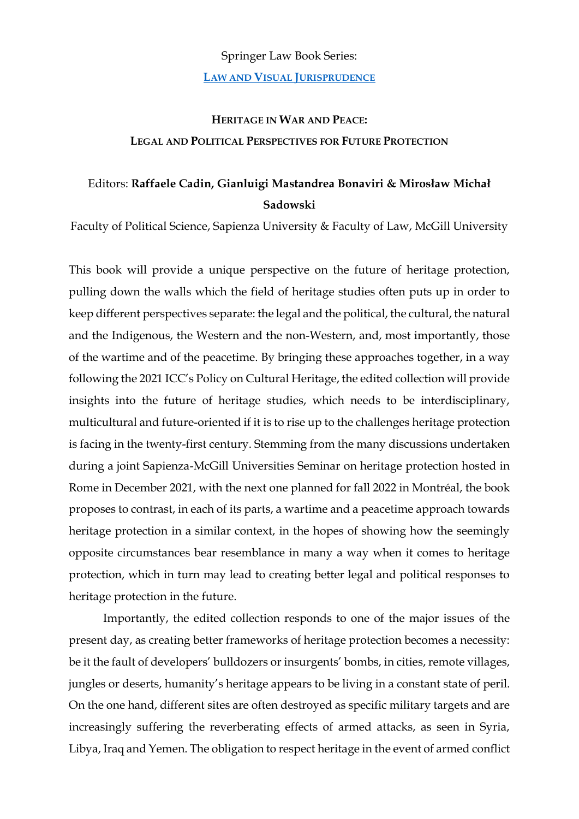## Springer Law Book Series: **LAW AND VISUAL J[URISPRUDENCE](https://www.springer.com/series/16413)**

## **HERITAGE IN WAR AND PEACE: LEGAL AND POLITICAL PERSPECTIVES FOR FUTURE PROTECTION**

## Editors: **Raffaele Cadin, Gianluigi Mastandrea Bonaviri & Mirosław Michał Sadowski**

Faculty of Political Science, Sapienza University & Faculty of Law, McGill University

This book will provide a unique perspective on the future of heritage protection, pulling down the walls which the field of heritage studies often puts up in order to keep different perspectives separate: the legal and the political, the cultural, the natural and the Indigenous, the Western and the non-Western, and, most importantly, those of the wartime and of the peacetime. By bringing these approaches together, in a way following the 2021 ICC's Policy on Cultural Heritage, the edited collection will provide insights into the future of heritage studies, which needs to be interdisciplinary, multicultural and future-oriented if it is to rise up to the challenges heritage protection is facing in the twenty-first century. Stemming from the many discussions undertaken during a joint Sapienza-McGill Universities Seminar on heritage protection hosted in Rome in December 2021, with the next one planned for fall 2022 in Montréal, the book proposes to contrast, in each of its parts, a wartime and a peacetime approach towards heritage protection in a similar context, in the hopes of showing how the seemingly opposite circumstances bear resemblance in many a way when it comes to heritage protection, which in turn may lead to creating better legal and political responses to heritage protection in the future.

Importantly, the edited collection responds to one of the major issues of the present day, as creating better frameworks of heritage protection becomes a necessity: be it the fault of developers' bulldozers or insurgents' bombs, in cities, remote villages, jungles or deserts, humanity's heritage appears to be living in a constant state of peril. On the one hand, different sites are often destroyed as specific military targets and are increasingly suffering the reverberating effects of armed attacks, as seen in Syria, Libya, Iraq and Yemen. The obligation to respect heritage in the event of armed conflict